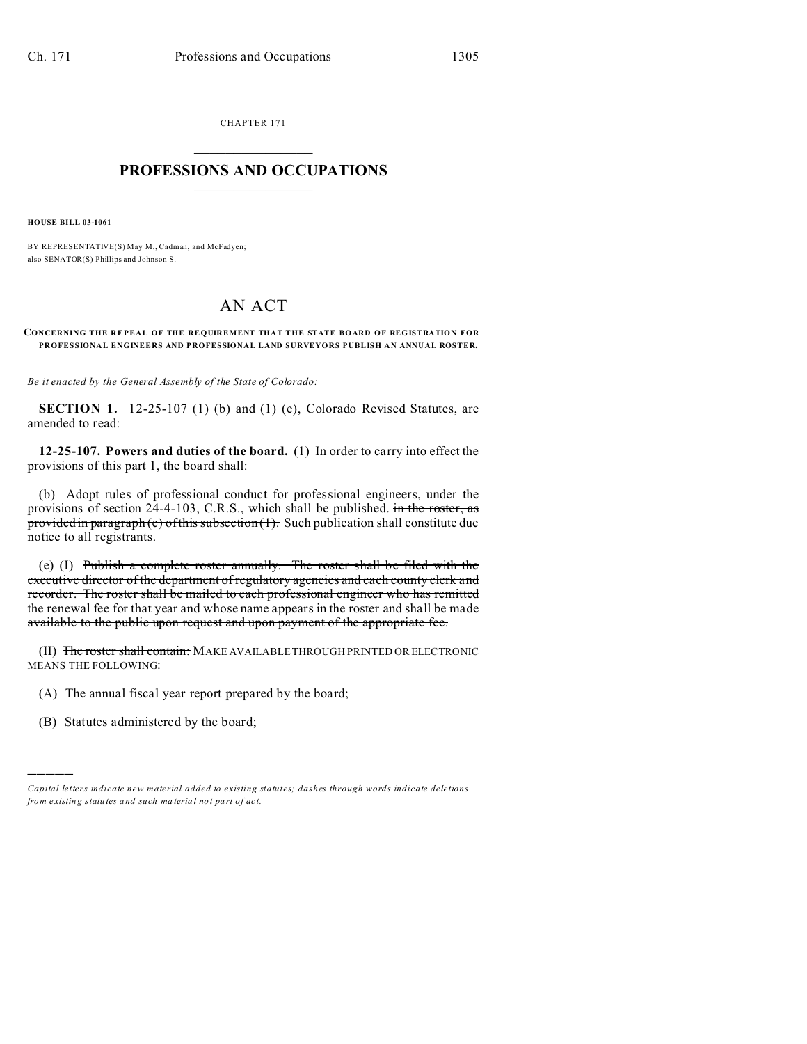CHAPTER 171  $\overline{\phantom{a}}$  , where  $\overline{\phantom{a}}$ 

## **PROFESSIONS AND OCCUPATIONS**  $\frac{1}{2}$  ,  $\frac{1}{2}$  ,  $\frac{1}{2}$  ,  $\frac{1}{2}$  ,  $\frac{1}{2}$  ,  $\frac{1}{2}$  ,  $\frac{1}{2}$

**HOUSE BILL 03-1061**

BY REPRESENTATIVE(S) May M., Cadman, and McFadyen; also SENATOR(S) Phillips and Johnson S.

## AN ACT

## **CONCERNING THE REPEAL OF THE REQUIREMENT THAT THE STATE BOARD OF REGISTRATION FOR PROFESSIONAL ENGINEERS AND PROFESSIONAL LAND SURVEYORS PUBLISH AN ANNUAL ROSTER.**

*Be it enacted by the General Assembly of the State of Colorado:*

**SECTION 1.** 12-25-107 (1) (b) and (1) (e), Colorado Revised Statutes, are amended to read:

**12-25-107. Powers and duties of the board.** (1) In order to carry into effect the provisions of this part 1, the board shall:

(b) Adopt rules of professional conduct for professional engineers, under the provisions of section 24-4-103, C.R.S., which shall be published. in the roster, as provided in paragraph (e) of this subsection  $(1)$ . Such publication shall constitute due notice to all registrants.

(e) (I) Publish a complete roster annually. The roster shall be filed with the executive director of the department of regulatory agencies and each county clerk and recorder. The roster shall be mailed to each professional engineer who has remitted the renewal fee for that year and whose name appears in the roster and shall be made available to the public upon request and upon payment of the appropriate fee.

(II) The roster shall contain: MAKE AVAILABLE THROUGH PRINTED OR ELECTRONIC MEANS THE FOLLOWING:

- (A) The annual fiscal year report prepared by the board;
- (B) Statutes administered by the board;

)))))

*Capital letters indicate new material added to existing statutes; dashes through words indicate deletions from e xistin g statu tes a nd such ma teria l no t pa rt of ac t.*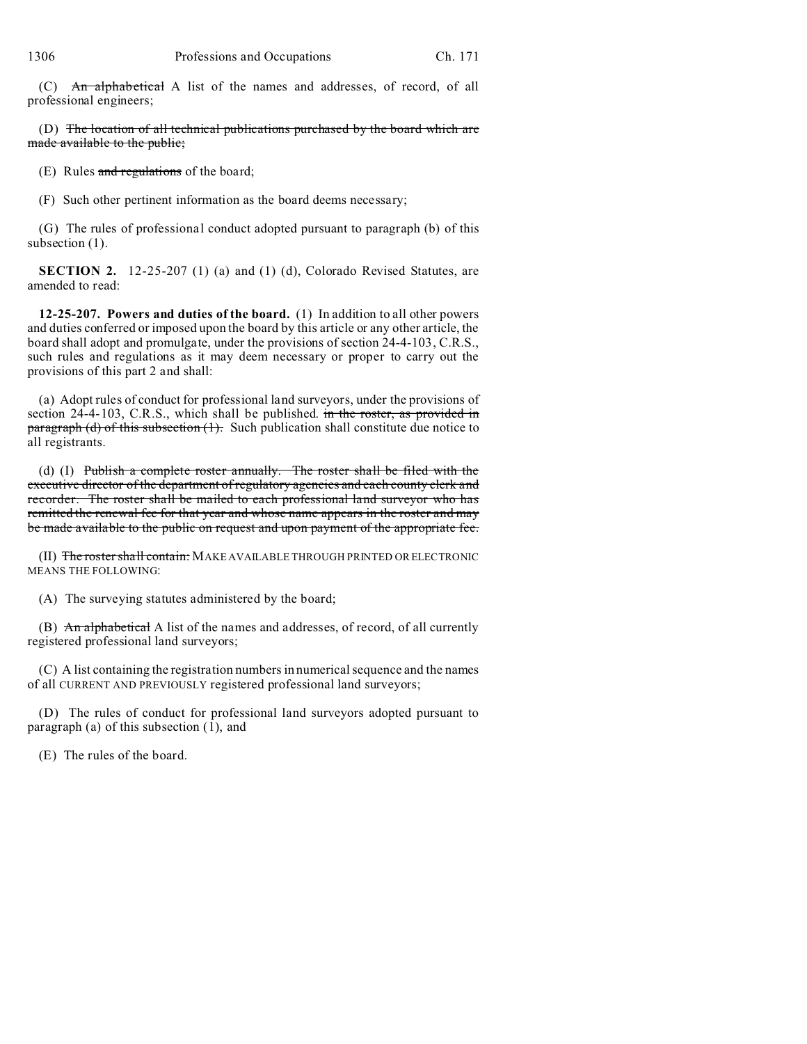(C) An alphabetical A list of the names and addresses, of record, of all professional engineers;

(D) The location of all technical publications purchased by the board which are made available to the public;

 $(E)$  Rules and regulations of the board;

(F) Such other pertinent information as the board deems necessary;

(G) The rules of professional conduct adopted pursuant to paragraph (b) of this subsection  $(1)$ .

**SECTION 2.** 12-25-207 (1) (a) and (1) (d), Colorado Revised Statutes, are amended to read:

**12-25-207. Powers and duties of the board.** (1) In addition to all other powers and duties conferred or imposed upon the board by this article or any other article, the board shall adopt and promulgate, under the provisions of section 24-4-103, C.R.S., such rules and regulations as it may deem necessary or proper to carry out the provisions of this part 2 and shall:

(a) Adopt rules of conduct for professional land surveyors, under the provisions of section 24-4-103, C.R.S., which shall be published. in the roster, as provided in  $\frac{\text{pargraph (d) of this subsection (1)}}{\text{value (1)}}$ . Such publication shall constitute due notice to all registrants.

(d) (I) Publish a complete roster annually. The roster shall be filed with the executive director of the department of regulatory agencies and each county clerk and recorder. The roster shall be mailed to each professional land surveyor who has remitted the renewal fee for that year and whose name appears in the roster and may be made available to the public on request and upon payment of the appropriate fee.

(II) The roster shall contain: MAKE AVAILABLE THROUGH PRINTED OR ELECTRONIC MEANS THE FOLLOWING:

(A) The surveying statutes administered by the board;

(B) An alphabetical A list of the names and addresses, of record, of all currently registered professional land surveyors;

(C) A list containing the registration numbers in numerical sequence and the names of all CURRENT AND PREVIOUSLY registered professional land surveyors;

(D) The rules of conduct for professional land surveyors adopted pursuant to paragraph (a) of this subsection (1), and

(E) The rules of the board.